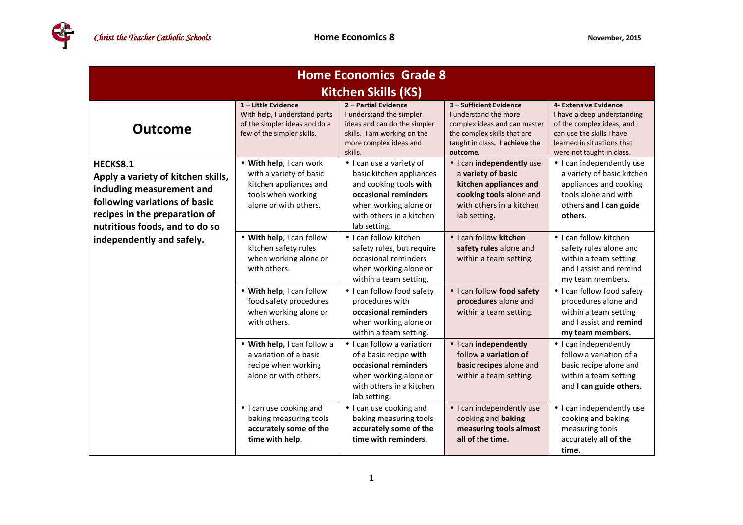EA

| <b>Home Economics Grade 8</b>                                                                                                                                                   |                                                                                                                             |                                                                                                                                                                             |                                                                                                                                                               |                                                                                                                                                                             |  |  |  |
|---------------------------------------------------------------------------------------------------------------------------------------------------------------------------------|-----------------------------------------------------------------------------------------------------------------------------|-----------------------------------------------------------------------------------------------------------------------------------------------------------------------------|---------------------------------------------------------------------------------------------------------------------------------------------------------------|-----------------------------------------------------------------------------------------------------------------------------------------------------------------------------|--|--|--|
| <b>Kitchen Skills (KS)</b>                                                                                                                                                      |                                                                                                                             |                                                                                                                                                                             |                                                                                                                                                               |                                                                                                                                                                             |  |  |  |
| <b>Outcome</b>                                                                                                                                                                  | $1$ – Little Evidence<br>With help, I understand parts<br>of the simpler ideas and do a<br>few of the simpler skills.       | 2 - Partial Evidence<br>I understand the simpler<br>ideas and can do the simpler<br>skills. I am working on the<br>more complex ideas and<br>skills.                        | 3 - Sufficient Evidence<br>I understand the more<br>complex ideas and can master<br>the complex skills that are<br>taught in class. I achieve the<br>outcome. | 4- Extensive Evidence<br>I have a deep understanding<br>of the complex ideas, and I<br>can use the skills I have<br>learned in situations that<br>were not taught in class. |  |  |  |
| HECKS8.1<br>Apply a variety of kitchen skills,<br>including measurement and<br>following variations of basic<br>recipes in the preparation of<br>nutritious foods, and to do so | • With help, I can work<br>with a variety of basic<br>kitchen appliances and<br>tools when working<br>alone or with others. | • I can use a variety of<br>basic kitchen appliances<br>and cooking tools with<br>occasional reminders<br>when working alone or<br>with others in a kitchen<br>lab setting. | · I can independently use<br>a variety of basic<br>kitchen appliances and<br>cooking tools alone and<br>with others in a kitchen<br>lab setting.              | • I can independently use<br>a variety of basic kitchen<br>appliances and cooking<br>tools alone and with<br>others and I can guide<br>others.                              |  |  |  |
| independently and safely.                                                                                                                                                       | • With help, I can follow<br>kitchen safety rules<br>when working alone or<br>with others.                                  | • I can follow kitchen<br>safety rules, but require<br>occasional reminders<br>when working alone or<br>within a team setting.                                              | • I can follow kitchen<br>safety rules alone and<br>within a team setting.                                                                                    | • I can follow kitchen<br>safety rules alone and<br>within a team setting<br>and I assist and remind<br>my team members.                                                    |  |  |  |
|                                                                                                                                                                                 | • With help, I can follow<br>food safety procedures<br>when working alone or<br>with others.                                | • I can follow food safety<br>procedures with<br>occasional reminders<br>when working alone or<br>within a team setting.                                                    | · I can follow food safety<br>procedures alone and<br>within a team setting.                                                                                  | • I can follow food safety<br>procedures alone and<br>within a team setting<br>and I assist and remind<br>my team members.                                                  |  |  |  |
|                                                                                                                                                                                 | • With help, I can follow a<br>a variation of a basic<br>recipe when working<br>alone or with others.                       | • I can follow a variation<br>of a basic recipe with<br>occasional reminders<br>when working alone or<br>with others in a kitchen<br>lab setting.                           | • I can independently<br>follow a variation of<br>basic recipes alone and<br>within a team setting.                                                           | • I can independently<br>follow a variation of a<br>basic recipe alone and<br>within a team setting<br>and I can guide others.                                              |  |  |  |
|                                                                                                                                                                                 | • I can use cooking and<br>baking measuring tools<br>accurately some of the<br>time with help.                              | • I can use cooking and<br>baking measuring tools<br>accurately some of the<br>time with reminders.                                                                         | • I can independently use<br>cooking and baking<br>measuring tools almost<br>all of the time.                                                                 | • I can independently use<br>cooking and baking<br>measuring tools<br>accurately all of the<br>time.                                                                        |  |  |  |